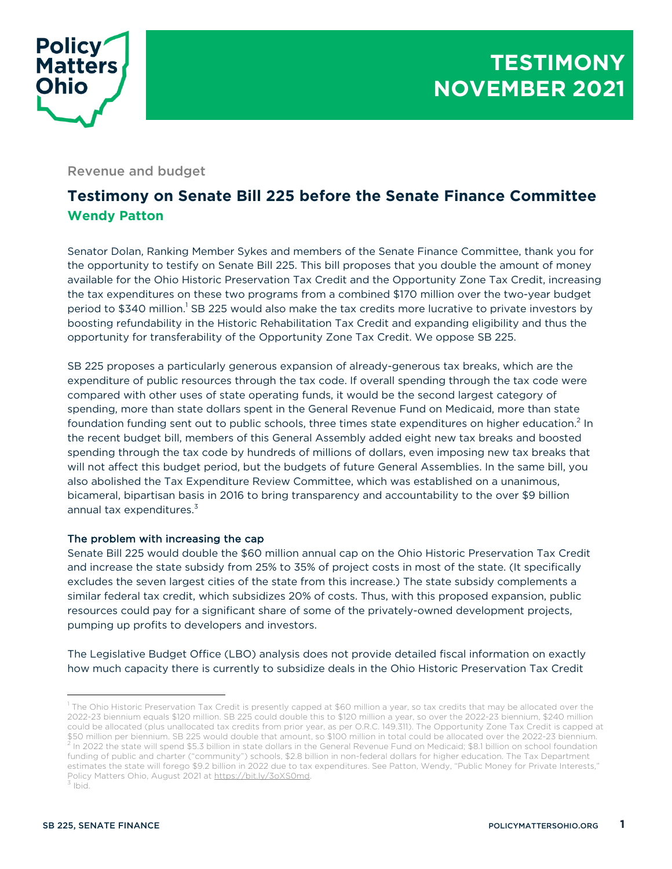

Revenue and budget

# **Testimony on Senate Bill 225 before the Senate Finance Committee Wendy Patton**

Senator Dolan, Ranking Member Sykes and members of the Senate Finance Committee, thank you for the opportunity to testify on Senate Bill 225. This bill proposes that you double the amount of money available for the Ohio Historic Preservation Tax Credit and the Opportunity Zone Tax Credit, increasing the tax expenditures on these two programs from a combined \$170 million over the two-year budget period to \$340 million.<sup>1</sup> SB 225 would also make the tax credits more lucrative to private investors by boosting refundability in the Historic Rehabilitation Tax Credit and expanding eligibility and thus the opportunity for transferability of the Opportunity Zone Tax Credit. We oppose SB 225.

SB 225 proposes a particularly generous expansion of already-generous tax breaks, which are the expenditure of public resources through the tax code. If overall spending through the tax code were compared with other uses of state operating funds, it would be the second largest category of spending, more than state dollars spent in the General Revenue Fund on Medicaid, more than state foundation funding sent out to public schools, three times state expenditures on higher education.<sup>2</sup> In the recent budget bill, members of this General Assembly added eight new tax breaks and boosted spending through the tax code by hundreds of millions of dollars, even imposing new tax breaks that will not affect this budget period, but the budgets of future General Assemblies. In the same bill, you also abolished the Tax Expenditure Review Committee, which was established on a unanimous, bicameral, bipartisan basis in 2016 to bring transparency and accountability to the over \$9 billion annual tax expenditures.<sup>3</sup>

## The problem with increasing the cap

Senate Bill 225 would double the \$60 million annual cap on the Ohio Historic Preservation Tax Credit and increase the state subsidy from 25% to 35% of project costs in most of the state. (It specifically excludes the seven largest cities of the state from this increase.) The state subsidy complements a similar federal tax credit, which subsidizes 20% of costs. Thus, with this proposed expansion, public resources could pay for a significant share of some of the privately-owned development projects, pumping up profits to developers and investors.

The Legislative Budget Office (LBO) analysis does not provide detailed fiscal information on exactly how much capacity there is currently to subsidize deals in the Ohio Historic Preservation Tax Credit

 $1$  The Ohio Historic Preservation Tax Credit is presently capped at \$60 million a year, so tax credits that may be allocated over the 2022-23 biennium equals \$120 million. SB 225 could double this to \$120 million a year, so over the 2022-23 biennium, \$240 million could be allocated (plus unallocated tax credits from prior year, as per O.R.C. 149.311). The Opportunity Zone Tax Credit is capped at \$50 million per biennium. SB 225 would double that amount, so \$100 million in total could be allocated over the 2022-23 biennium.<br><sup>2</sup> In 2022 the state will spend \$5.3 billion in state dollars in the General Revenue Fund o funding of public and charter ("community") schools, \$2.8 billion in non-federal dollars for higher education. The Tax Department estimates the state will forego \$9.2 billion in 2022 due to tax expenditures. See Patton, Wendy, "Public Money for Private Interests," Policy Matters Ohio, August 2021 at https://bit.ly/3oXS0md. <sup>3</sup> Ibid.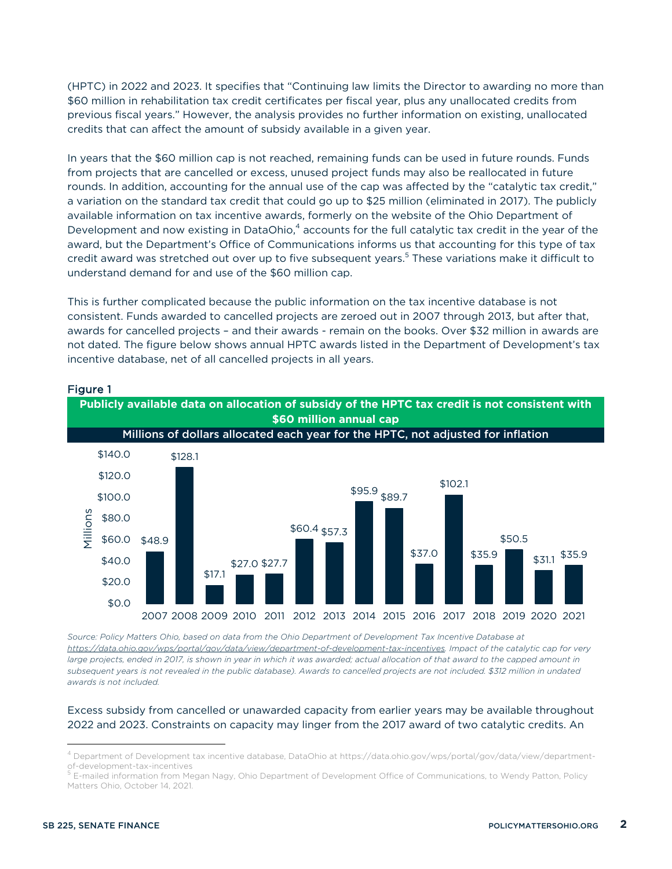(HPTC) in 2022 and 2023. It specifies that "Continuing law limits the Director to awarding no more than \$60 million in rehabilitation tax credit certificates per fiscal year, plus any unallocated credits from previous fiscal years." However, the analysis provides no further information on existing, unallocated credits that can affect the amount of subsidy available in a given year.

In years that the \$60 million cap is not reached, remaining funds can be used in future rounds. Funds from projects that are cancelled or excess, unused project funds may also be reallocated in future rounds. In addition, accounting for the annual use of the cap was affected by the "catalytic tax credit," a variation on the standard tax credit that could go up to \$25 million (eliminated in 2017). The publicly available information on tax incentive awards, formerly on the website of the Ohio Department of Development and now existing in DataOhio,<sup>4</sup> accounts for the full catalytic tax credit in the year of the award, but the Department's Office of Communications informs us that accounting for this type of tax credit award was stretched out over up to five subsequent years.<sup>5</sup> These variations make it difficult to understand demand for and use of the \$60 million cap.

This is further complicated because the public information on the tax incentive database is not consistent. Funds awarded to cancelled projects are zeroed out in 2007 through 2013, but after that, awards for cancelled projects – and their awards - remain on the books. Over \$32 million in awards are not dated. The figure below shows annual HPTC awards listed in the Department of Development's tax incentive database, net of all cancelled projects in all years.



## Figure 1

*Source: Policy Matters Ohio, based on data from the Ohio Department of Development Tax Incentive Database at https://data.ohio.gov/wps/portal/gov/data/view/department-of-development-tax-incentives. Impact of the catalytic cap for very*  large projects, ended in 2017, is shown in year in which it was awarded; actual allocation of that award to the capped amount in *subsequent years is not revealed in the public database). Awards to cancelled projects are not included. \$312 million in undated awards is not included.*

## Excess subsidy from cancelled or unawarded capacity from earlier years may be available throughout 2022 and 2023. Constraints on capacity may linger from the 2017 award of two catalytic credits. An

<sup>4</sup> Department of Development tax incentive database, DataOhio at https://data.ohio.gov/wps/portal/gov/data/view/departmentof-development-tax-incentives<br><sup>5</sup> E-mailed information from Megan Nagy, Ohio Department of Development Office of Communications, to Wendy Patton, Policy

Matters Ohio, October 14, 2021.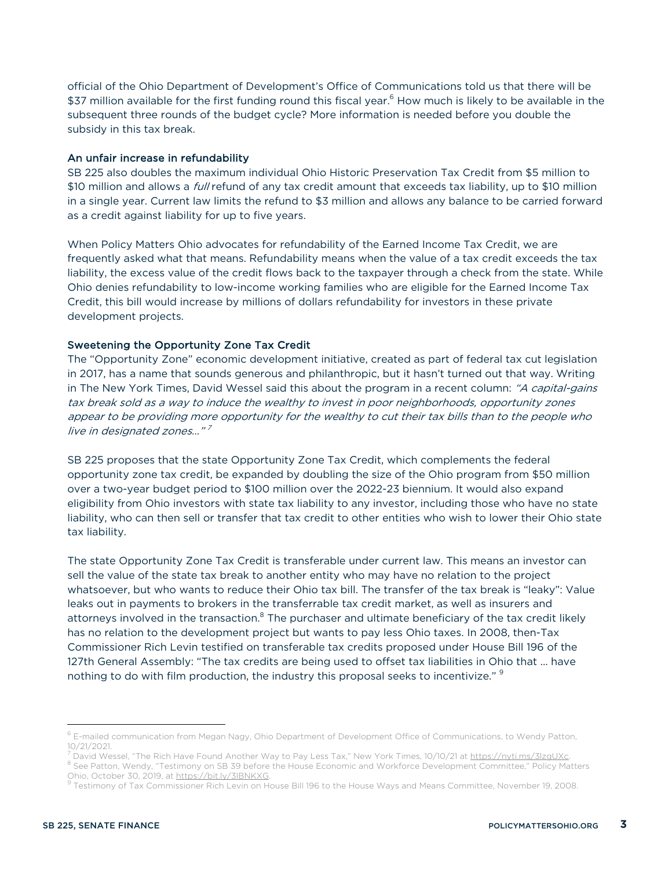official of the Ohio Department of Development's Office of Communications told us that there will be \$37 million available for the first funding round this fiscal year.<sup>6</sup> How much is likely to be available in the subsequent three rounds of the budget cycle? More information is needed before you double the subsidy in this tax break.

#### An unfair increase in refundability

SB 225 also doubles the maximum individual Ohio Historic Preservation Tax Credit from \$5 million to \$10 million and allows a *full* refund of any tax credit amount that exceeds tax liability, up to \$10 million in a single year. Current law limits the refund to \$3 million and allows any balance to be carried forward as a credit against liability for up to five years.

When Policy Matters Ohio advocates for refundability of the Earned Income Tax Credit, we are frequently asked what that means. Refundability means when the value of a tax credit exceeds the tax liability, the excess value of the credit flows back to the taxpayer through a check from the state. While Ohio denies refundability to low-income working families who are eligible for the Earned Income Tax Credit, this bill would increase by millions of dollars refundability for investors in these private development projects.

#### Sweetening the Opportunity Zone Tax Credit

The "Opportunity Zone" economic development initiative, created as part of federal tax cut legislation in 2017, has a name that sounds generous and philanthropic, but it hasn't turned out that way. Writing in The New York Times, David Wessel said this about the program in a recent column: "A capital-gains tax break sold as a way to induce the wealthy to invest in poor neighborhoods, opportunity zones appear to be providing more opportunity for the wealthy to cut their tax bills than to the people who live in designated zones..."<sup>7</sup>

SB 225 proposes that the state Opportunity Zone Tax Credit, which complements the federal opportunity zone tax credit, be expanded by doubling the size of the Ohio program from \$50 million over a two-year budget period to \$100 million over the 2022-23 biennium. It would also expand eligibility from Ohio investors with state tax liability to any investor, including those who have no state liability, who can then sell or transfer that tax credit to other entities who wish to lower their Ohio state tax liability.

The state Opportunity Zone Tax Credit is transferable under current law. This means an investor can sell the value of the state tax break to another entity who may have no relation to the project whatsoever, but who wants to reduce their Ohio tax bill. The transfer of the tax break is "leaky": Value leaks out in payments to brokers in the transferrable tax credit market, as well as insurers and attorneys involved in the transaction.<sup>8</sup> The purchaser and ultimate beneficiary of the tax credit likely has no relation to the development project but wants to pay less Ohio taxes. In 2008, then-Tax Commissioner Rich Levin testified on transferable tax credits proposed under House Bill 196 of the 127th General Assembly: "The tax credits are being used to offset tax liabilities in Ohio that ... have nothing to do with film production, the industry this proposal seeks to incentivize." <sup>9</sup>

 $6$  E-mailed communication from Megan Nagy, Ohio Department of Development Office of Communications, to Wendy Patton, 10/21/2021.

<sup>&</sup>lt;sup>7</sup> David Wessel, "The Rich Have Found Another Way to Pay Less Tax," New York Times, 10/10/21 at <u>https://nyti.ms/3IzqUXc</u>.<br><sup>8</sup> See Patton, Wendy, "Testimony on SB 39 before the House Economic and Workforce Development Com

Ohio, October 30, 2019, at <u>https://bit.ly/3lBNKXG</u>.<br><sup>9</sup> Testimony of Tax Commissioner Rich Levin on House Bill 196 to the House Ways and Means Committee, November 19, 2008.